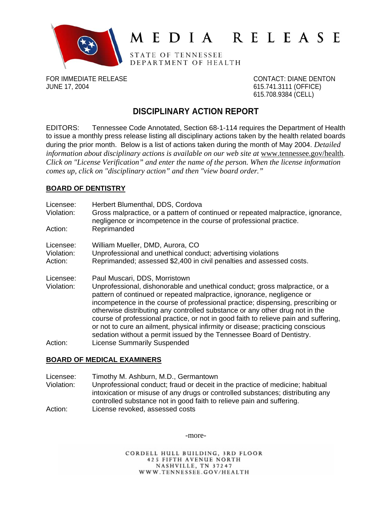

# MEDIA RELEASE

STATE OF TENNESSEE DEPARTMENT OF HEALTH

FOR IMMEDIATE RELEASE CONTACT: DIANE DENTON JUNE 17, 2004 615.741.3111 (OFFICE)

615.708.9384 (CELL)

# **DISCIPLINARY ACTION REPORT**

EDITORS: Tennessee Code Annotated, Section 68-1-114 requires the Department of Health to issue a monthly press release listing all disciplinary actions taken by the health related boards during the prior month. Below is a list of actions taken during the month of May 2004. *Detailed information about disciplinary actions is available on our web site at www.tennessee.gov/health. Click on "License Verification" and enter the name of the person. When the license information comes up, click on "disciplinary action" and then "view board order."* 

# **BOARD OF DENTISTRY**

Licensee: Herbert Blumenthal, DDS, Cordova Violation: Gross malpractice, or a pattern of continued or repeated malpractice, ignorance, negligence or incompetence in the course of professional practice. Action: Reprimanded Licensee: William Mueller, DMD, Aurora, CO Violation: Unprofessional and unethical conduct; advertising violations Action: Reprimanded; assessed \$2,400 in civil penalties and assessed costs. Licensee: Paul Muscari, DDS, Morristown Violation: Unprofessional, dishonorable and unethical conduct; gross malpractice, or a pattern of continued or repeated malpractice, ignorance, negligence or incompetence in the course of professional practice; dispensing, prescribing or otherwise distributing any controlled substance or any other drug not in the course of professional practice, or not in good faith to relieve pain and suffering, or not to cure an ailment, physical infirmity or disease; practicing conscious sedation without a permit issued by the Tennessee Board of Dentistry. Action: License Summarily Suspended

## **BOARD OF MEDICAL EXAMINERS**

Licensee: Timothy M. Ashburn, M.D., Germantown Violation: Unprofessional conduct; fraud or deceit in the practice of medicine; habitual intoxication or misuse of any drugs or controlled substances; distributing any controlled substance not in good faith to relieve pain and suffering. Action: License revoked, assessed costs

-more-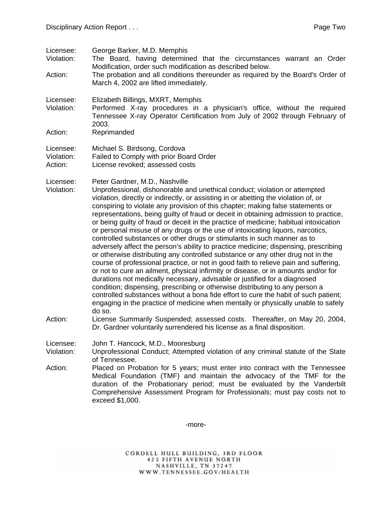- Licensee: George Barker, M.D. Memphis
- Violation: The Board, having determined that the circumstances warrant an Order Modification, order such modification as described below.
- Action: The probation and all conditions thereunder as required by the Board's Order of March 4, 2002 are lifted immediately.
- Licensee: Elizabeth Billings, MXRT, Memphis
- Violation: Performed X-ray procedures in a physician's office, without the required Tennessee X-ray Operator Certification from July of 2002 through February of 2003.
- Action: Reprimanded
- Licensee: Michael S. Birdsong, Cordova Violation: Failed to Comply with prior Board Order
- Action: License revoked; assessed costs

Licensee: Peter Gardner, M.D., Nashville

- Violation: Unprofessional, dishonorable and unethical conduct; violation or attempted violation, directly or indirectly, or assisting in or abetting the violation of, or conspiring to violate any provision of this chapter; making false statements or representations, being guilty of fraud or deceit in obtaining admission to practice, or being guilty of fraud or deceit in the practice of medicine; habitual intoxication or personal misuse of any drugs or the use of intoxicating liquors, narcotics, controlled substances or other drugs or stimulants in such manner as to adversely affect the person's ability to practice medicine; dispensing, prescribing or otherwise distributing any controlled substance or any other drug not in the course of professional practice, or not in good faith to relieve pain and suffering, or not to cure an ailment, physical infirmity or disease, or in amounts and/or for durations not medically necessary, advisable or justified for a diagnosed condition; dispensing, prescribing or otherwise distributing to any person a controlled substances without a bona fide effort to cure the habit of such patient; engaging in the practice of medicine when mentally or physically unable to safely do so.
- Action: License Summarily Suspended; assessed costs. Thereafter, on May 20, 2004, Dr. Gardner voluntarily surrendered his license as a final disposition.

Licensee: John T. Hancock, M.D., Mooresburg

Violation: Unprofessional Conduct; Attempted violation of any criminal statute of the State of Tennessee.

Action: Placed on Probation for 5 years; must enter into contract with the Tennessee Medical Foundation (TMF) and maintain the advocacy of the TMF for the duration of the Probationary period; must be evaluated by the Vanderbilt Comprehensive Assessment Program for Professionals; must pay costs not to exceed \$1,000.

-more-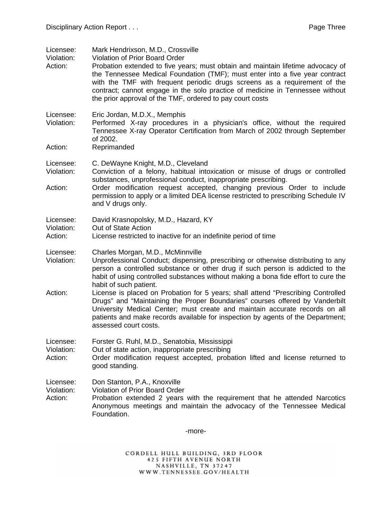| Licensee:<br>Violation:<br>Action: | Mark Hendrixson, M.D., Crossville<br><b>Violation of Prior Board Order</b><br>Probation extended to five years; must obtain and maintain lifetime advocacy of<br>the Tennessee Medical Foundation (TMF); must enter into a five year contract<br>with the TMF with frequent periodic drugs screens as a requirement of the<br>contract; cannot engage in the solo practice of medicine in Tennessee without<br>the prior approval of the TMF, ordered to pay court costs                                                                                                                                                                                                              |
|------------------------------------|---------------------------------------------------------------------------------------------------------------------------------------------------------------------------------------------------------------------------------------------------------------------------------------------------------------------------------------------------------------------------------------------------------------------------------------------------------------------------------------------------------------------------------------------------------------------------------------------------------------------------------------------------------------------------------------|
| Licensee:<br>Violation:<br>Action: | Eric Jordan, M.D.X., Memphis<br>Performed X-ray procedures in a physician's office, without the required<br>Tennessee X-ray Operator Certification from March of 2002 through September<br>of 2002.<br>Reprimanded                                                                                                                                                                                                                                                                                                                                                                                                                                                                    |
| Licensee:<br>Violation:<br>Action: | C. DeWayne Knight, M.D., Cleveland<br>Conviction of a felony, habitual intoxication or misuse of drugs or controlled<br>substances, unprofessional conduct, inappropriate prescribing.<br>Order modification request accepted, changing previous Order to include<br>permission to apply or a limited DEA license restricted to prescribing Schedule IV<br>and V drugs only.                                                                                                                                                                                                                                                                                                          |
| Licensee:<br>Violation:<br>Action: | David Krasnopolsky, M.D., Hazard, KY<br>Out of State Action<br>License restricted to inactive for an indefinite period of time                                                                                                                                                                                                                                                                                                                                                                                                                                                                                                                                                        |
| Licensee:<br>Violation:<br>Action: | Charles Morgan, M.D., McMinnville<br>Unprofessional Conduct; dispensing, prescribing or otherwise distributing to any<br>person a controlled substance or other drug if such person is addicted to the<br>habit of using controlled substances without making a bona fide effort to cure the<br>habit of such patient.<br>License is placed on Probation for 5 years; shall attend "Prescribing Controlled<br>Drugs" and "Maintaining the Proper Boundaries" courses offered by Vanderbilt<br>University Medical Center; must create and maintain accurate records on all<br>patients and make records available for inspection by agents of the Department;<br>assessed court costs. |
| Licensee:<br>Violation:<br>Action: | Forster G. Ruhl, M.D., Senatobia, Mississippi<br>Out of state action, inappropriate prescribing<br>Order modification request accepted, probation lifted and license returned to<br>good standing.                                                                                                                                                                                                                                                                                                                                                                                                                                                                                    |
| Licensee:<br>Violation:<br>Action: | Don Stanton, P.A., Knoxville<br><b>Violation of Prior Board Order</b><br>Probation extended 2 years with the requirement that he attended Narcotics<br>Anonymous meetings and maintain the advocacy of the Tennessee Medical<br>Foundation.                                                                                                                                                                                                                                                                                                                                                                                                                                           |

-more-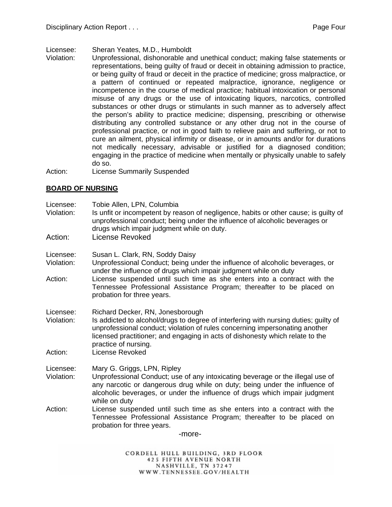Licensee: Sheran Yeates, M.D., Humboldt

- Violation: Unprofessional, dishonorable and unethical conduct; making false statements or representations, being guilty of fraud or deceit in obtaining admission to practice, or being guilty of fraud or deceit in the practice of medicine; gross malpractice, or a pattern of continued or repeated malpractice, ignorance, negligence or incompetence in the course of medical practice; habitual intoxication or personal misuse of any drugs or the use of intoxicating liquors, narcotics, controlled substances or other drugs or stimulants in such manner as to adversely affect the person's ability to practice medicine; dispensing, prescribing or otherwise distributing any controlled substance or any other drug not in the course of professional practice, or not in good faith to relieve pain and suffering, or not to cure an ailment, physical infirmity or disease, or in amounts and/or for durations not medically necessary, advisable or justified for a diagnosed condition; engaging in the practice of medicine when mentally or physically unable to safely do so.
- Action: License Summarily Suspended

## **BOARD OF NURSING**

Licensee: Tobie Allen, LPN, Columbia Violation: Is unfit or incompetent by reason of negligence, habits or other cause; is guilty of unprofessional conduct; being under the influence of alcoholic beverages or drugs which impair judgment while on duty. Action: License Revoked Licensee: Susan L. Clark, RN, Soddy Daisy Violation: Unprofessional Conduct; being under the influence of alcoholic beverages, or under the influence of drugs which impair judgment while on duty Action: License suspended until such time as she enters into a contract with the Tennessee Professional Assistance Program; thereafter to be placed on probation for three years. Licensee: Richard Decker, RN, Jonesborough Violation: Is addicted to alcohol/drugs to degree of interfering with nursing duties; guilty of unprofessional conduct; violation of rules concerning impersonating another licensed practitioner; and engaging in acts of dishonesty which relate to the practice of nursing. Action: License Revoked Licensee: Mary G. Griggs, LPN, Ripley Violation: Unprofessional Conduct; use of any intoxicating beverage or the illegal use of any narcotic or dangerous drug while on duty; being under the influence of alcoholic beverages, or under the influence of drugs which impair judgment while on duty Action: License suspended until such time as she enters into a contract with the Tennessee Professional Assistance Program; thereafter to be placed on probation for three years. -more-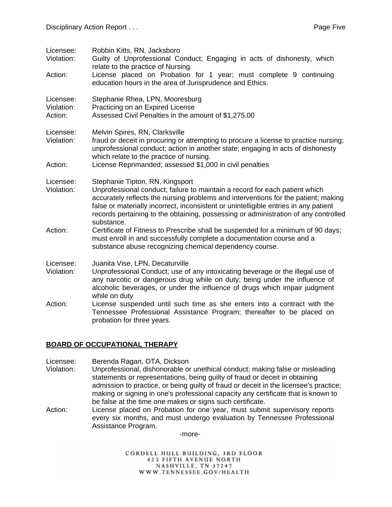| Licensee:<br>Violation:            | Robbin Kitts, RN, Jacksboro<br>Guilty of Unprofessional Conduct; Engaging in acts of dishonesty, which<br>relate to the practice of Nursing.                                                                                                                                                                                                                                                      |
|------------------------------------|---------------------------------------------------------------------------------------------------------------------------------------------------------------------------------------------------------------------------------------------------------------------------------------------------------------------------------------------------------------------------------------------------|
| Action:                            | License placed on Probation for 1 year; must complete 9 continuing<br>education hours in the area of Jurisprudence and Ethics.                                                                                                                                                                                                                                                                    |
| Licensee:<br>Violation:<br>Action: | Stephanie Rhea, LPN, Mooresburg<br>Practicing on an Expired License<br>Assessed Civil Penalties in the amount of \$1,275.00                                                                                                                                                                                                                                                                       |
| Licensee:<br>Violation:            | Melvin Spires, RN, Clarksville<br>fraud or deceit in procuring or attempting to procure a license to practice nursing;<br>unprofessional conduct; action in another state; engaging in acts of dishonesty<br>which relate to the practice of nursing.                                                                                                                                             |
| Action:                            | License Reprimanded; assessed \$1,000 in civil penalties                                                                                                                                                                                                                                                                                                                                          |
| Licensee:<br>Violation:            | Stephanie Tipton, RN, Kingsport<br>Unprofessional conduct; failure to maintain a record for each patient which<br>accurately reflects the nursing problems and interventions for the patient; making<br>false or materially incorrect, inconsistent or unintelligible entries in any patient<br>records pertaining to the obtaining, possessing or administration of any controlled<br>substance. |
| Action:                            | Certificate of Fitness to Prescribe shall be suspended for a minimum of 90 days;<br>must enroll in and successfully complete a documentation course and a<br>substance abuse recognizing chemical dependency course.                                                                                                                                                                              |
| Licensee:<br>Violation:            | Juanita Vise, LPN, Decaturville<br>Unprofessional Conduct; use of any intoxicating beverage or the illegal use of<br>any narcotic or dangerous drug while on duty; being under the influence of<br>alcoholic beverages, or under the influence of drugs which impair judgment<br>while on duty                                                                                                    |
| Action:                            | License suspended until such time as she enters into a contract with the<br>Tennessee Professional Assistance Program; thereafter to be placed on<br>probation for three years.                                                                                                                                                                                                                   |

## **BOARD OF OCCUPATIONAL THERAPY**

Licensee: Berenda Ragan, OTA, Dickson

- Violation: Unprofessional, dishonorable or unethical conduct; making false or misleading statements or representations, being guilty of fraud or deceit in obtaining admission to practice, or being guilty of fraud or deceit in the licensee's practice; making or signing in one's professional capacity any certificate that is known to be false at the time one makes or signs such certificate.
- Action: License placed on Probation for one year, must submit supervisory reports every six months, and must undergo evaluation by Tennessee Professional Assistance Program.

-more-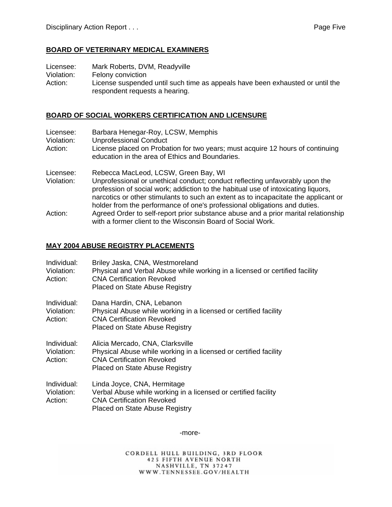#### **BOARD OF VETERINARY MEDICAL EXAMINERS**

Licensee: Mark Roberts, DVM, Readyville

Violation: Felony conviction

Action: License suspended until such time as appeals have been exhausted or until the respondent requests a hearing.

#### **BOARD OF SOCIAL WORKERS CERTIFICATION AND LICENSURE**

| Licensee:  | Barbara Henegar-Roy, LCSW, Memphis                                                  |
|------------|-------------------------------------------------------------------------------------|
| Violation: | <b>Unprofessional Conduct</b>                                                       |
| Action:    | License placed on Probation for two years; must acquire 12 hours of continuing      |
|            | education in the area of Ethics and Boundaries.                                     |
| Licensee:  | Rebecca MacLeod, LCSW, Green Bay, WI                                                |
| Violation: | Unprofessional or unethical conduct; conduct reflecting unfavorably upon the        |
|            | profession of social work; addiction to the habitual use of intoxicating liquors,   |
|            | narcotics or other stimulants to such an extent as to incapacitate the applicant or |
|            | holder from the performance of one's professional obligations and duties.           |
| Action:    | Agreed Order to self-report prior substance abuse and a prior marital relationship  |
|            | with a former client to the Wisconsin Board of Social Work.                         |

#### **MAY 2004 ABUSE REGISTRY PLACEMENTS**

| Individual:<br>Violation:<br>Action: | Briley Jaska, CNA, Westmoreland<br>Physical and Verbal Abuse while working in a licensed or certified facility<br><b>CNA Certification Revoked</b><br>Placed on State Abuse Registry |
|--------------------------------------|--------------------------------------------------------------------------------------------------------------------------------------------------------------------------------------|
| Individual:<br>Violation:<br>Action: | Dana Hardin, CNA, Lebanon<br>Physical Abuse while working in a licensed or certified facility<br><b>CNA Certification Revoked</b><br>Placed on State Abuse Registry                  |
| Individual:<br>Violation:<br>Action: | Alicia Mercado, CNA, Clarksville<br>Physical Abuse while working in a licensed or certified facility<br><b>CNA Certification Revoked</b><br>Placed on State Abuse Registry           |
| Individual:<br>Violation:<br>Action: | Linda Joyce, CNA, Hermitage<br>Verbal Abuse while working in a licensed or certified facility<br><b>CNA Certification Revoked</b><br>Placed on State Abuse Registry                  |

-more-